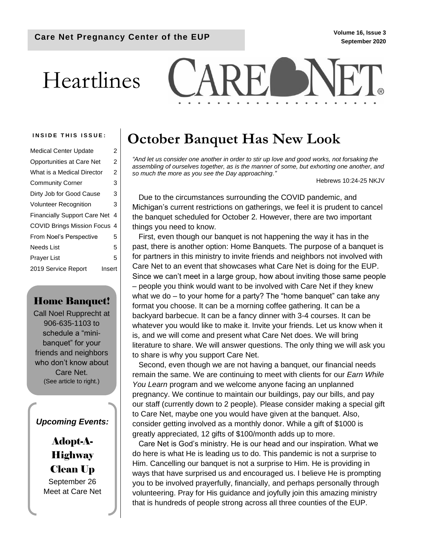# Heartlines



| <b>Medical Center Update</b>        | 2 |
|-------------------------------------|---|
| <b>Opportunities at Care Net</b>    | 2 |
| What is a Medical Director          | 2 |
| <b>Community Corner</b>             | 3 |
| Dirty Job for Good Cause            | 3 |
| <b>Volunteer Recognition</b>        | 3 |
| <b>Financially Support Care Net</b> | 4 |
| COVID Brings Mission Focus 4        |   |
| From Noel's Perspective             | 5 |
| Needs List                          | 5 |
| Prayer List                         | 5 |
| 2019 Service Report<br>Insert       |   |

## Home Banquet!

Call Noel Rupprecht at 906-635-1103 to schedule a "minibanquet" for your friends and neighbors who don't know about Care Net. (See article to right.)

## *Upcoming Events:*

Adopt-A-**Highway** Clean Up September 26 Meet at Care Net

# INSIDE THIS ISSUE: | October Banquet Has New Look

*"And let us consider one another in order to stir up love and good works, not forsaking the assembling of ourselves together, as is the manner of some, but exhorting one another, and so much the more as you see the Day approaching."*

Hebrews 10:24-25 NKJV

Due to the circumstances surrounding the COVID pandemic, and Michigan's current restrictions on gatherings, we feel it is prudent to cancel the banquet scheduled for October 2. However, there are two important things you need to know.

First, even though our banquet is not happening the way it has in the past, there is another option: Home Banquets. The purpose of a banquet is for partners in this ministry to invite friends and neighbors not involved with Care Net to an event that showcases what Care Net is doing for the EUP. Since we can't meet in a large group, how about inviting those same people – people you think would want to be involved with Care Net if they knew what we do – to your home for a party? The "home banquet" can take any format you choose. It can be a morning coffee gathering. It can be a backyard barbecue. It can be a fancy dinner with 3-4 courses. It can be whatever you would like to make it. Invite your friends. Let us know when it is, and we will come and present what Care Net does. We will bring literature to share. We will answer questions. The only thing we will ask you to share is why you support Care Net.

Second, even though we are not having a banquet, our financial needs remain the same. We are continuing to meet with clients for our *Earn While You Learn* program and we welcome anyone facing an unplanned pregnancy. We continue to maintain our buildings, pay our bills, and pay our staff (currently down to 2 people). Please consider making a special gift to Care Net, maybe one you would have given at the banquet. Also, consider getting involved as a monthly donor. While a gift of \$1000 is greatly appreciated, 12 gifts of \$100/month adds up to more.

Care Net is God's ministry. He is our head and our inspiration. What we do here is what He is leading us to do. This pandemic is not a surprise to Him. Cancelling our banquet is not a surprise to Him. He is providing in ways that have surprised us and encouraged us. I believe He is prompting you to be involved prayerfully, financially, and perhaps personally through volunteering. Pray for His guidance and joyfully join this amazing ministry that is hundreds of people strong across all three counties of the EUP.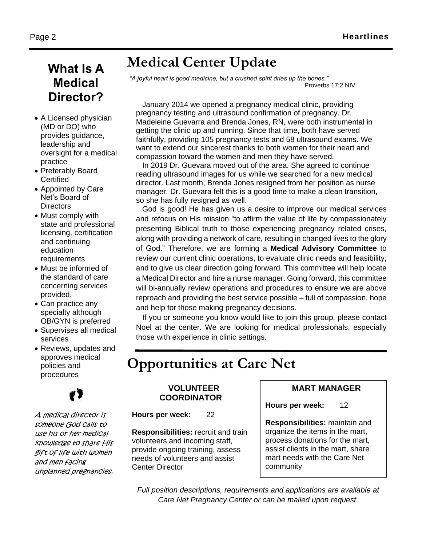# **What Is A Medical Director?**

- A Licensed physician (MD or DO) who provides guidance, leadership and oversight for a medical practice
- Preferably Board **Certified**
- Appointed by Care Net's Board of **Directors**
- Must comply with state and professional licensing, certification and continuing education **requirements**
- Must be informed of the standard of care concerning services provided.
- Can practice any specialty although OB/GYN is preferred
- Supervises all medical services
- Reviews, updates and approves medical policies and procedures

A medical director is someone God calls to use his or her medical knowledge to share His gift of life with women and men facing unplanned pregnancies.

# **Medical Center Update**

*"A joyful heart is good medicine, but a crushed spirit dries up the bones."* Proverbs 17:2 NIV

January 2014 we opened a pregnancy medical clinic, providing pregnancy testing and ultrasound confirmation of pregnancy. Dr. Madeleine Guevarra and Brenda Jones, RN, were both instrumental in getting the clinic up and running. Since that time, both have served faithfully, providing 105 pregnancy tests and 58 ultrasound exams. We want to extend our sincerest thanks to both women for their heart and compassion toward the women and men they have served.

In 2019 Dr. Guevara moved out of the area. She agreed to continue reading ultrasound images for us while we searched for a new medical director. Last month, Brenda Jones resigned from her position as nurse manager. Dr. Guevara felt this is a good time to make a clean transition, so she has fully resigned as well.

God is good! He has given us a desire to improve our medical services and refocus on His mission "to affirm the value of life by compassionately presenting Biblical truth to those experiencing pregnancy related crises, along with providing a network of care, resulting in changed lives to the glory of God." Therefore, we are forming a **Medical Advisory Committee** to review our current clinic operations, to evaluate clinic needs and feasibility, and to give us clear direction going forward. This committee will help locate a Medical Director and hire a nurse manager. Going forward, this committee will bi-annually review operations and procedures to ensure we are above reproach and providing the best service possible – full of compassion, hope and help for those making pregnancy decisions.

If you or someone you know would like to join this group, please contact Noel at the center. We are looking for medical professionals, especially those with experience in clinic settings.

# **Opportunities at Care Net**

## **VOLUNTEER COORDINATOR**

**Hours per week:** 22

**Responsibilities:** recruit and train volunteers and incoming staff, provide ongoing training, assess needs of volunteers and assist Center Director

## **MART MANAGER**

**Hours per week:** 12

**Responsibilities:** maintain and organize the items in the mart, process donations for the mart, assist clients in the mart, share mart needs with the Care Net community

*Full position descriptions, requirements and applications are available at Care Net Pregnancy Center or can be mailed upon request.*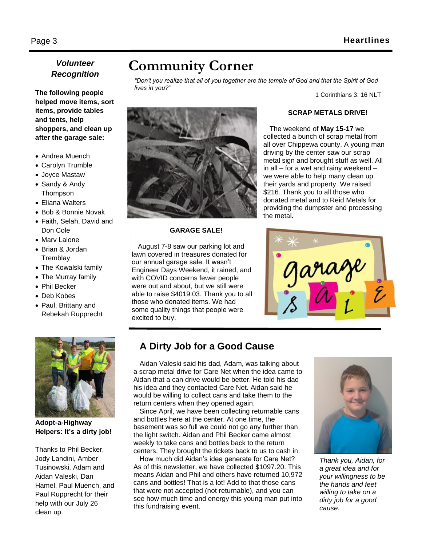## *Volunteer Recognition*

**The following people helped move items, sort items, provide tables and tents, help shoppers, and clean up after the garage sale:**

- Andrea Muench
- Carolyn Trumble
- Joyce Mastaw
- Sandy & Andy Thompson
- Eliana Walters
- Bob & Bonnie Novak
- Faith, Selah, David and Don Cole
- Marv Lalone
- Brian & Jordan **Tremblay**
- The Kowalski family
- The Murray family
- Phil Becker
- Deb Kobes
- Paul, Brittany and Rebekah Rupprecht



**Adopt-a-Highway Helpers: It's a dirty job!**

Thanks to Phil Becker, Jody Landini, Amber Tusinowski, Adam and Aidan Valeski, Dan Hamel, Paul Muench, and Paul Rupprecht for their help with our July 26 clean up.

# **Community Corner**

*"Don't you realize that all of you together are the temple of God and that the Spirit of God lives in you?"*

1 Corinthians 3: 16 NLT



#### **GARAGE SALE!**

August 7-8 saw our parking lot and lawn covered in treasures donated for our annual garage sale. It wasn't Engineer Days Weekend, it rained, and with COVID concerns fewer people were out and about, but we still were able to raise \$4019.03. Thank you to all those who donated items. We had some quality things that people were excited to buy.

## **SCRAP METALS DRIVE!**

The weekend of **May 15-17** we collected a bunch of scrap metal from all over Chippewa county. A young man driving by the center saw our scrap metal sign and brought stuff as well. All in all – for a wet and rainy weekend – we were able to help many clean up their yards and property. We raised \$216. Thank you to all those who donated metal and to Reid Metals for providing the dumpster and processing the metal.



## **A Dirty Job for a Good Cause**

Aidan Valeski said his dad, Adam, was talking about a scrap metal drive for Care Net when the idea came to Aidan that a can drive would be better. He told his dad his idea and they contacted Care Net. Aidan said he would be willing to collect cans and take them to the return centers when they opened again.

Since April, we have been collecting returnable cans and bottles here at the center. At one time, the basement was so full we could not go any further than the light switch. Aidan and Phil Becker came almost weekly to take cans and bottles back to the return centers. They brought the tickets back to us to cash in.

How much did Aidan's idea generate for Care Net? As of this newsletter, we have collected \$1097.20. This means Aidan and Phil and others have returned 10,972 cans and bottles! That is a lot! Add to that those cans that were not accepted (not returnable), and you can see how much time and energy this young man put into this fundraising event.



*Thank you, Aidan, for a great idea and for your willingness to be the hands and feet willing to take on a dirty job for a good cause.*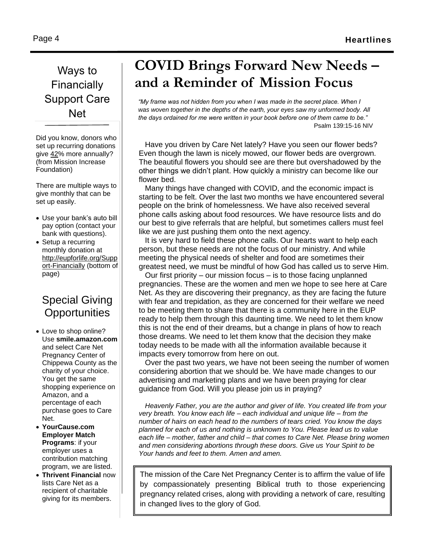# Ways to **Financially** Support Care Net

Did you know, donors who set up recurring donations give [42%](http://nonprofitssource.com/online-giving-statistics?meid=A153CD66-C9F8-860F-9FA1-FC9875972585) more annually? (from Mission Increase Foundation)

There are multiple ways to give monthly that can be set up easily.

- Use your bank's auto bill pay option (contact your bank with questions).
- Setup a recurring monthly donation at [http://eupforlife.org/Supp](http://eupforlife.org/Support-Financially) [ort-Financially](http://eupforlife.org/Support-Financially) (bottom of page)

# Special Giving **Opportunities**

- Love to shop online? Use **smile.amazon.com** and select Care Net Pregnancy Center of Chippewa County as the charity of your choice. You get the same shopping experience on Amazon, and a percentage of each purchase goes to Care Net.
- **YourCause.com Employer Match Programs**: if your employer uses a contribution matching program, we are listed.
- **Thrivent Financial** now lists Care Net as a recipient of charitable giving for its members.

# **COVID Brings Forward New Needs – and a Reminder of Mission Focus**

*"My frame was not hidden from you when I was made in the secret place. When I was woven together in the depths of the earth, your eyes saw my unformed body. All the days ordained for me were written in your book before one of them came to be."* Psalm 139:15-16 NIV

Have you driven by Care Net lately? Have you seen our flower beds? Even though the lawn is nicely mowed, our flower beds are overgrown. The beautiful flowers you should see are there but overshadowed by the other things we didn't plant. How quickly a ministry can become like our flower bed.

Many things have changed with COVID, and the economic impact is starting to be felt. Over the last two months we have encountered several people on the brink of homelessness. We have also received several phone calls asking about food resources. We have resource lists and do our best to give referrals that are helpful, but sometimes callers must feel like we are just pushing them onto the next agency.

It is very hard to field these phone calls. Our hearts want to help each person, but these needs are not the focus of our ministry. And while meeting the physical needs of shelter and food are sometimes their greatest need, we must be mindful of how God has called us to serve Him.

Our first priority – our mission focus – is to those facing unplanned pregnancies. These are the women and men we hope to see here at Care Net. As they are discovering their pregnancy, as they are facing the future with fear and trepidation, as they are concerned for their welfare we need to be meeting them to share that there is a community here in the EUP ready to help them through this daunting time. We need to let them know this is not the end of their dreams, but a change in plans of how to reach those dreams. We need to let them know that the decision they make today needs to be made with all the information available because it impacts every tomorrow from here on out.

Over the past two years, we have not been seeing the number of women considering abortion that we should be. We have made changes to our advertising and marketing plans and we have been praying for clear guidance from God. Will you please join us in praying?

*Heavenly Father, you are the author and giver of life. You created life from your very breath. You know each life – each individual and unique life – from the number of hairs on each head to the numbers of tears cried. You know the days planned for each of us and nothing is unknown to You. Please lead us to value each life – mother, father and child – that comes to Care Net. Please bring women and men considering abortions through these doors. Give us Your Spirit to be Your hands and feet to them. Amen and amen.*

The mission of the Care Net Pregnancy Center is to affirm the value of life by compassionately presenting Biblical truth to those experiencing pregnancy related crises, along with providing a network of care, resulting in changed lives to the glory of God.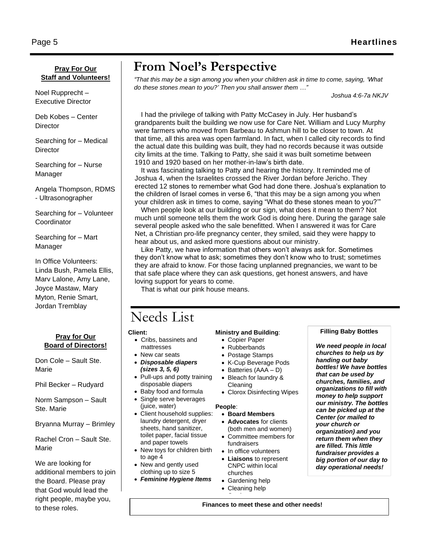## **Pray For Our Staff and Volunteers!**

Noel Rupprecht – Executive Director

Page 5

Deb Kobes – Center **Director** 

Searching for – Medical **Director** 

Searching for – Nurse Manager

Angela Thompson, RDMS - Ultrasonographer

Searching for – Volunteer **Coordinator** 

Searching for – Mart Manager

In Office Volunteers: Linda Bush, Pamela Ellis, Marv Lalone, Amy Lane, Joyce Mastaw, Mary Myton, Renie Smart, Jordan Tremblay

## **Pray for Our Board of Directors!**

Don Cole – Sault Ste. Marie

Phil Becker – Rudyard

Norm Sampson – Sault Ste. Marie

Bryanna Murray – Brimley

Rachel Cron – Sault Ste. Marie

We are looking for additional members to join the Board. Please pray that God would lead the right people, maybe you, to these roles.

# **From Noel's Perspective**

*"That this may be a sign among you when your children ask in time to come, saying, 'What do these stones mean to you?' Then you shall answer them …"*

*Joshua 4:6-7a NKJV*

I had the privilege of talking with Patty McCasey in July. Her husband's grandparents built the building we now use for Care Net. William and Lucy Murphy were farmers who moved from Barbeau to Ashmun hill to be closer to town. At that time, all this area was open farmland. In fact, when I called city records to find the actual date this building was built, they had no records because it was outside city limits at the time. Talking to Patty, she said it was built sometime between 1910 and 1920 based on her mother-in-law's birth date.

It was fascinating talking to Patty and hearing the history. It reminded me of Joshua 4, when the Israelites crossed the River Jordan before Jericho. They erected 12 stones to remember what God had done there. Joshua's explanation to the children of Israel comes in verse 6, "that this may be a sign among you when your children ask in times to come, saying "What do these stones mean to you?'"

When people look at our building or our sign, what does it mean to them? Not much until someone tells them the work God is doing here. During the garage sale several people asked who the sale benefitted. When I answered it was for Care Net, a Christian pro-life pregnancy center, they smiled, said they were happy to hear about us, and asked more questions about our ministry.

Like Patty, we have information that others won't always ask for. Sometimes they don't know what to ask; sometimes they don't know who to trust; sometimes they are afraid to know. For those facing unplanned pregnancies, we want to be that safe place where they can ask questions, get honest answers, and have loving support for years to come.

That is what our pink house means.

# Needs List

#### **Client:**

- Cribs, bassinets and mattresses
- New car seats
- *Disposable diapers (sizes 3, 5, 6)*
- Pull-ups and potty training disposable diapers
- Baby food and formula Single serve beverages
- (juice, water) • Client household supplies:
- laundry detergent, dryer sheets, hand sanitizer, toilet paper, facial tissue and paper towels
- New toys for children birth to age 4
- New and gently used clothing up to size 5
- *Feminine Hygiene Items*

## **Ministry and Building**:

- Copier Paper
- Rubberbands
- Postage Stamps
- K-Cup Beverage Pods
- Batteries (AAA D)
- Bleach for laundry & Cleaning
- Clorox Disinfecting Wipes

## **People**:

#### • **Board Members**

- **Advocates** for clients (both men and women)
- Committee members for fundraisers
- In office volunteers
- **Liaisons** to represent CNPC within local churches
- Gardening help
- Cleaning help • Gardener

## **Filling Baby Bottles**

*We need people in local churches to help us by handing out baby bottles! We have bottles that can be used by churches, families, and organizations to fill with money to help support our ministry. The bottles can be picked up at the Center (or mailed to your church or organization) and you return them when they are filled. This little fundraiser provides a big portion of our day to day operational needs!*

**Finances to meet these and other needs!**